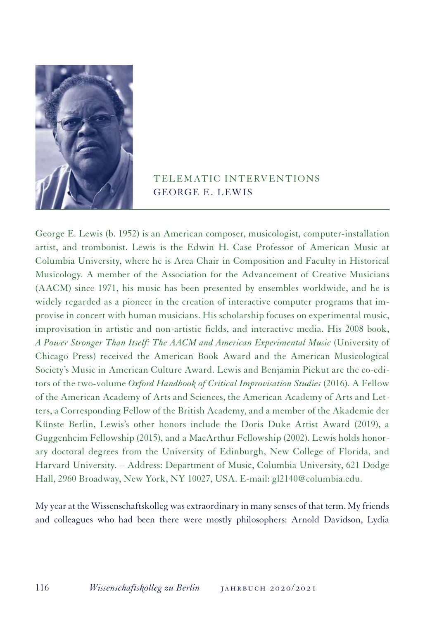

## TELEMATIC INTERVENTIONS GEORGE E. LEWIS

George E. Lewis (b. 1952) is an American composer, musicologist, computer-installation artist, and trombonist. Lewis is the Edwin H. Case Professor of American Music at Columbia University, where he is Area Chair in Composition and Faculty in Historical Musicology. A member of the Association for the Advancement of Creative Musicians (AACM) since 1971, his music has been presented by ensembles worldwide, and he is widely regarded as a pioneer in the creation of interactive computer programs that improvise in concert with human musicians. His scholarship focuses on experimental music, improvisation in artistic and non-artistic fields, and interactive media. His 2008 book, *A Power Stronger Than Itself: The AACM and American Experimental Music* (University of Chicago Press) received the American Book Award and the American Musicological Society's Music in American Culture Award. Lewis and Benjamin Piekut are the co-editors of the two-volume *Oxford Handbook of Critical Improvisation Studies* (2016). A Fellow of the American Academy of Arts and Sciences, the American Academy of Arts and Letters, a Corresponding Fellow of the British Academy, and a member of the Akademie der Künste Berlin, Lewis's other honors include the Doris Duke Artist Award (2019), a Guggenheim Fellowship (2015), and a MacArthur Fellowship (2002). Lewis holds honorary doctoral degrees from the University of Edinburgh, New College of Florida, and Harvard University. – Address: Department of Music, Columbia University, 621 Dodge Hall, 2960 Broadway, New York, NY 10027, USA. E-mail: gl2140@columbia.edu.

My year at the Wissenschaftskolleg was extraordinary in many senses of that term. My friends and colleagues who had been there were mostly philosophers: Arnold Davidson, Lydia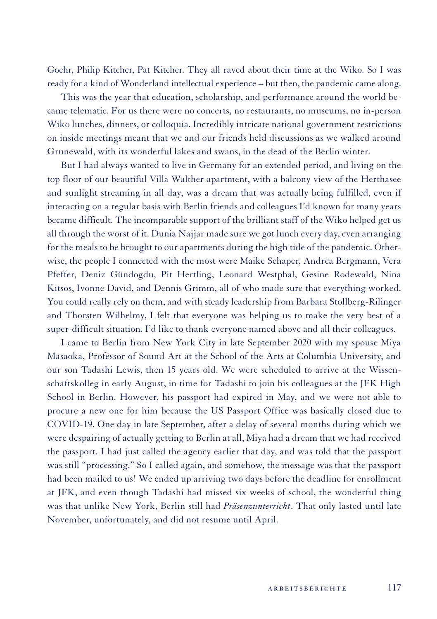Goehr, Philip Kitcher, Pat Kitcher. They all raved about their time at the Wiko. So I was ready for a kind of Wonderland intellectual experience – but then, the pandemic came along.

This was the year that education, scholarship, and performance around the world became telematic. For us there were no concerts, no restaurants, no museums, no in-person Wiko lunches, dinners, or colloquia. Incredibly intricate national government restrictions on inside meetings meant that we and our friends held discussions as we walked around Grunewald, with its wonderful lakes and swans, in the dead of the Berlin winter.

But I had always wanted to live in Germany for an extended period, and living on the top floor of our beautiful Villa Walther apartment, with a balcony view of the Herthasee and sunlight streaming in all day, was a dream that was actually being fulfilled, even if interacting on a regular basis with Berlin friends and colleagues I'd known for many years became difficult. The incomparable support of the brilliant staff of the Wiko helped get us all through the worst of it. Dunia Najjar made sure we got lunch every day, even arranging for the meals to be brought to our apartments during the high tide of the pandemic. Otherwise, the people I connected with the most were Maike Schaper, Andrea Bergmann, Vera Pfeffer, Deniz Gündogdu, Pit Hertling, Leonard Westphal, Gesine Rodewald, Nina Kitsos, Ivonne David, and Dennis Grimm, all of who made sure that everything worked. You could really rely on them, and with steady leadership from Barbara Stollberg-Rilinger and Thorsten Wilhelmy, I felt that everyone was helping us to make the very best of a super-difficult situation. I'd like to thank everyone named above and all their colleagues.

I came to Berlin from New York City in late September 2020 with my spouse Miya Masaoka, Professor of Sound Art at the School of the Arts at Columbia University, and our son Tadashi Lewis, then 15 years old. We were scheduled to arrive at the Wissenschaftskolleg in early August, in time for Tadashi to join his colleagues at the JFK High School in Berlin. However, his passport had expired in May, and we were not able to procure a new one for him because the US Passport Office was basically closed due to COVID-19. One day in late September, after a delay of several months during which we were despairing of actually getting to Berlin at all, Miya had a dream that we had received the passport. I had just called the agency earlier that day, and was told that the passport was still "processing." So I called again, and somehow, the message was that the passport had been mailed to us! We ended up arriving two days before the deadline for enrollment at JFK, and even though Tadashi had missed six weeks of school, the wonderful thing was that unlike New York, Berlin still had *Präsenzunterricht*. That only lasted until late November, unfortunately, and did not resume until April.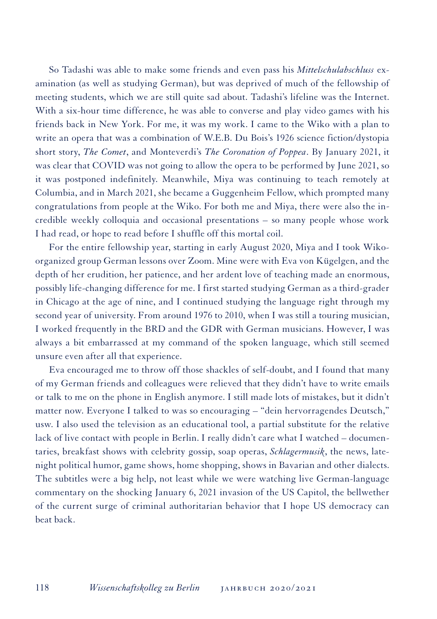So Tadashi was able to make some friends and even pass his *Mittelschulabschluss* examination (as well as studying German), but was deprived of much of the fellowship of meeting students, which we are still quite sad about. Tadashi's lifeline was the Internet. With a six-hour time difference, he was able to converse and play video games with his friends back in New York. For me, it was my work. I came to the Wiko with a plan to write an opera that was a combination of W.E.B. Du Bois's 1926 science fiction/dystopia short story, *The Comet*, and Monteverdi's *The Coronation of Poppea*. By January 2021, it was clear that COVID was not going to allow the opera to be performed by June 2021, so it was postponed indefinitely. Meanwhile, Miya was continuing to teach remotely at Columbia, and in March 2021, she became a Guggenheim Fellow, which prompted many congratulations from people at the Wiko. For both me and Miya, there were also the incredible weekly colloquia and occasional presentations – so many people whose work I had read, or hope to read before I shuffle off this mortal coil.

For the entire fellowship year, starting in early August 2020, Miya and I took Wikoorganized group German lessons over Zoom. Mine were with Eva von Kügelgen, and the depth of her erudition, her patience, and her ardent love of teaching made an enormous, possibly life-changing difference for me. I first started studying German as a third-grader in Chicago at the age of nine, and I continued studying the language right through my second year of university. From around 1976 to 2010, when I was still a touring musician, I worked frequently in the BRD and the GDR with German musicians. However, I was always a bit embarrassed at my command of the spoken language, which still seemed unsure even after all that experience.

Eva encouraged me to throw off those shackles of self-doubt, and I found that many of my German friends and colleagues were relieved that they didn't have to write emails or talk to me on the phone in English anymore. I still made lots of mistakes, but it didn't matter now. Everyone I talked to was so encouraging – "dein hervorragendes Deutsch," usw. I also used the television as an educational tool, a partial substitute for the relative lack of live contact with people in Berlin. I really didn't care what I watched – documentaries, breakfast shows with celebrity gossip, soap operas, *Schlagermusik*, the news, latenight political humor, game shows, home shopping, shows in Bavarian and other dialects. The subtitles were a big help, not least while we were watching live German-language commentary on the shocking January 6, 2021 invasion of the US Capitol, the bellwether of the current surge of criminal authoritarian behavior that I hope US democracy can beat back.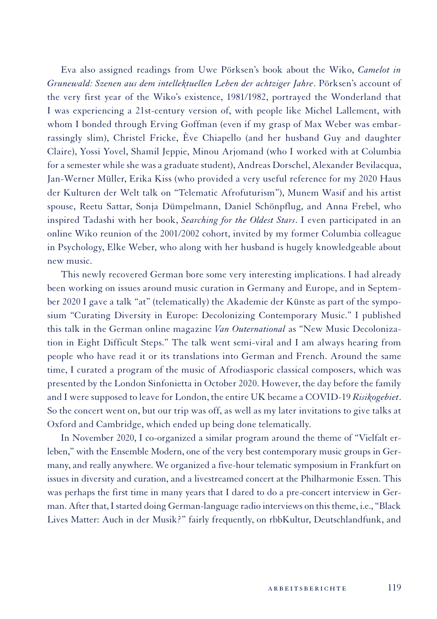Eva also assigned readings from Uwe Pörksen's book about the Wiko, *Camelot in Grunewald: Szenen aus dem intellektuellen Leben der achtziger Jahre*. Pörksen's account of the very first year of the Wiko's existence, 1981/1982, portrayed the Wonderland that I was experiencing a 21st-century version of, with people like Michel Lallement, with whom I bonded through Erving Goffman (even if my grasp of Max Weber was embarrassingly slim), Christel Fricke, Ève Chiapello (and her husband Guy and daughter Claire), Yossi Yovel, Shamil Jeppie, Minou Arjomand (who I worked with at Columbia for a semester while she was a graduate student), Andreas Dorschel, Alexander Bevilacqua, Jan-Werner Müller, Erika Kiss (who provided a very useful reference for my 2020 Haus der Kulturen der Welt talk on "Telematic Afrofuturism"), Munem Wasif and his artist spouse, Reetu Sattar, Sonja Dümpelmann, Daniel Schönpflug, and Anna Frebel, who inspired Tadashi with her book, *Searching for the Oldest Stars*. I even participated in an online Wiko reunion of the 2001/2002 cohort, invited by my former Columbia colleague in Psychology, Elke Weber, who along with her husband is hugely knowledgeable about new music.

This newly recovered German bore some very interesting implications. I had already been working on issues around music curation in Germany and Europe, and in September 2020 I gave a talk "at" (telematically) the Akademie der Künste as part of the symposium "Curating Diversity in Europe: Decolonizing Contemporary Music." I published this talk in the German online magazine *Van Outernational* as "New Music Decolonization in Eight Difficult Steps." The talk went semi-viral and I am always hearing from people who have read it or its translations into German and French. Around the same time, I curated a program of the music of Afrodiasporic classical composers, which was presented by the London Sinfonietta in October 2020. However, the day before the family and I were supposed to leave for London, the entire UK became a COVID-19 *Risikogebiet*. So the concert went on, but our trip was off, as well as my later invitations to give talks at Oxford and Cambridge, which ended up being done telematically.

In November 2020, I co-organized a similar program around the theme of "Vielfalt erleben," with the Ensemble Modern, one of the very best contemporary music groups in Germany, and really anywhere. We organized a five-hour telematic symposium in Frankfurt on issues in diversity and curation, and a livestreamed concert at the Philharmonie Essen. This was perhaps the first time in many years that I dared to do a pre-concert interview in German. After that, I started doing German-language radio interviews on this theme, i.e., "Black Lives Matter: Auch in der Musik?" fairly frequently, on rbbKultur, Deutschlandfunk, and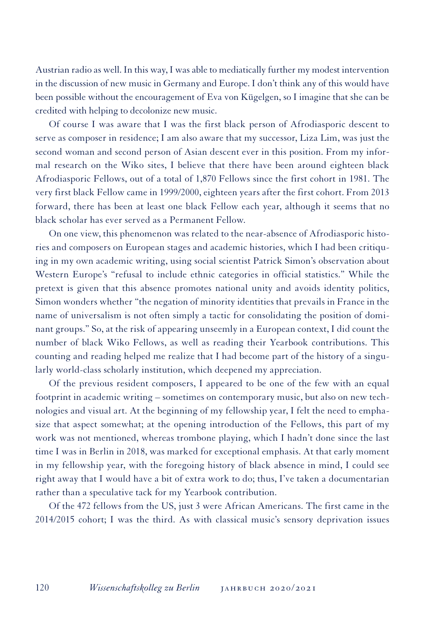Austrian radio as well. In this way, I was able to mediatically further my modest intervention in the discussion of new music in Germany and Europe. I don't think any of this would have been possible without the encouragement of Eva von Kügelgen, so I imagine that she can be credited with helping to decolonize new music.

Of course I was aware that I was the first black person of Afrodiasporic descent to serve as composer in residence; I am also aware that my successor, Liza Lim, was just the second woman and second person of Asian descent ever in this position. From my informal research on the Wiko sites, I believe that there have been around eighteen black Afrodiasporic Fellows, out of a total of 1,870 Fellows since the first cohort in 1981. The very first black Fellow came in 1999/2000, eighteen years after the first cohort. From 2013 forward, there has been at least one black Fellow each year, although it seems that no black scholar has ever served as a Permanent Fellow.

On one view, this phenomenon was related to the near-absence of Afrodiasporic histories and composers on European stages and academic histories, which I had been critiquing in my own academic writing, using social scientist Patrick Simon's observation about Western Europe's "refusal to include ethnic categories in official statistics." While the pretext is given that this absence promotes national unity and avoids identity politics, Simon wonders whether "the negation of minority identities that prevails in France in the name of universalism is not often simply a tactic for consolidating the position of dominant groups." So, at the risk of appearing unseemly in a European context, I did count the number of black Wiko Fellows, as well as reading their Yearbook contributions. This counting and reading helped me realize that I had become part of the history of a singularly world-class scholarly institution, which deepened my appreciation.

Of the previous resident composers, I appeared to be one of the few with an equal footprint in academic writing – sometimes on contemporary music, but also on new technologies and visual art. At the beginning of my fellowship year, I felt the need to emphasize that aspect somewhat; at the opening introduction of the Fellows, this part of my work was not mentioned, whereas trombone playing, which I hadn't done since the last time I was in Berlin in 2018, was marked for exceptional emphasis. At that early moment in my fellowship year, with the foregoing history of black absence in mind, I could see right away that I would have a bit of extra work to do; thus, I've taken a documentarian rather than a speculative tack for my Yearbook contribution.

Of the 472 fellows from the US, just 3 were African Americans. The first came in the 2014/2015 cohort; I was the third. As with classical music's sensory deprivation issues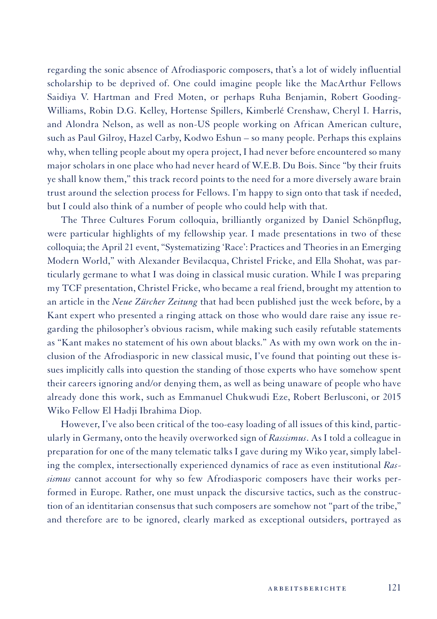regarding the sonic absence of Afrodiasporic composers, that's a lot of widely influential scholarship to be deprived of. One could imagine people like the MacArthur Fellows Saidiya V. Hartman and Fred Moten, or perhaps Ruha Benjamin, Robert Gooding-Williams, Robin D.G. Kelley, Hortense Spillers, Kimberlé Crenshaw, Cheryl I. Harris, and Alondra Nelson, as well as non-US people working on African American culture, such as Paul Gilroy, Hazel Carby, Kodwo Eshun – so many people. Perhaps this explains why, when telling people about my opera project, I had never before encountered so many major scholars in one place who had never heard of W.E.B. Du Bois. Since "by their fruits ye shall know them," this track record points to the need for a more diversely aware brain trust around the selection process for Fellows. I'm happy to sign onto that task if needed, but I could also think of a number of people who could help with that.

The Three Cultures Forum colloquia, brilliantly organized by Daniel Schönpflug, were particular highlights of my fellowship year. I made presentations in two of these colloquia; the April 21 event, "Systematizing 'Race': Practices and Theories in an Emerging Modern World," with Alexander Bevilacqua, Christel Fricke, and Ella Shohat, was particularly germane to what I was doing in classical music curation. While I was preparing my TCF presentation, Christel Fricke, who became a real friend, brought my attention to an article in the *Neue Zürcher Zeitung* that had been published just the week before, by a Kant expert who presented a ringing attack on those who would dare raise any issue regarding the philosopher's obvious racism, while making such easily refutable statements as "Kant makes no statement of his own about blacks." As with my own work on the inclusion of the Afrodiasporic in new classical music, I've found that pointing out these issues implicitly calls into question the standing of those experts who have somehow spent their careers ignoring and/or denying them, as well as being unaware of people who have already done this work, such as Emmanuel Chukwudi Eze, Robert Berlusconi, or 2015 Wiko Fellow El Hadii Ibrahima Diop.

However, I've also been critical of the too-easy loading of all issues of this kind, particularly in Germany, onto the heavily overworked sign of *Rassismus*. As I told a colleague in preparation for one of the many telematic talks I gave during my Wiko year, simply labeling the complex, intersectionally experienced dynamics of race as even institutional *Rassismus* cannot account for why so few Afrodiasporic composers have their works performed in Europe. Rather, one must unpack the discursive tactics, such as the construction of an identitarian consensus that such composers are somehow not "part of the tribe," and therefore are to be ignored, clearly marked as exceptional outsiders, portrayed as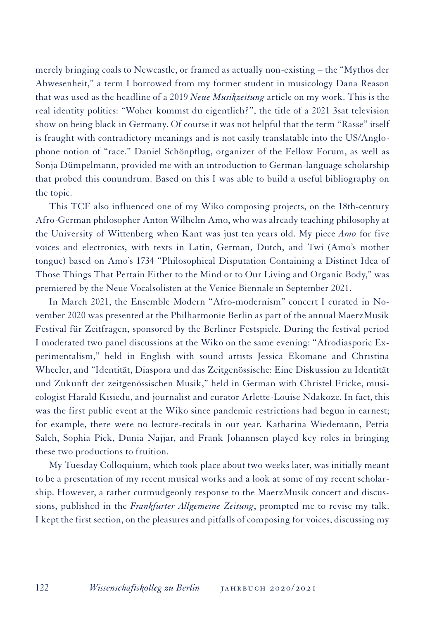merely bringing coals to Newcastle, or framed as actually non-existing – the "Mythos der Abwesenheit," a term I borrowed from my former student in musicology Dana Reason that was used as the headline of a 2019 *Neue Musikzeitung* article on my work. This is the real identity politics: "Woher kommst du eigentlich?", the title of a 2021 3sat television show on being black in Germany. Of course it was not helpful that the term "Rasse" itself is fraught with contradictory meanings and is not easily translatable into the US/Anglophone notion of "race." Daniel Schönpflug, organizer of the Fellow Forum, as well as Sonja Dümpelmann, provided me with an introduction to German-language scholarship that probed this conundrum. Based on this I was able to build a useful bibliography on the topic.

This TCF also influenced one of my Wiko composing projects, on the 18th-century Afro-German philosopher Anton Wilhelm Amo, who was already teaching philosophy at the University of Wittenberg when Kant was just ten years old. My piece *Amo* for five voices and electronics, with texts in Latin, German, Dutch, and Twi (Amo's mother tongue) based on Amo's 1734 "Philosophical Disputation Containing a Distinct Idea of Those Things That Pertain Either to the Mind or to Our Living and Organic Body," was premiered by the Neue Vocalsolisten at the Venice Biennale in September 2021.

In March 2021, the Ensemble Modern "Afro-modernism" concert I curated in November 2020 was presented at the Philharmonie Berlin as part of the annual MaerzMusik Festival für Zeitfragen, sponsored by the Berliner Festspiele. During the festival period I moderated two panel discussions at the Wiko on the same evening: "Afrodiasporic Experimentalism," held in English with sound artists Jessica Ekomane and Christina Wheeler, and "Identität, Diaspora und das Zeitgenössische: Eine Diskussion zu Identität und Zukunft der zeitgenössischen Musik," held in German with Christel Fricke, musicologist Harald Kisiedu, and journalist and curator Arlette-Louise Ndakoze. In fact, this was the first public event at the Wiko since pandemic restrictions had begun in earnest; for example, there were no lecture-recitals in our year. Katharina Wiedemann, Petria Saleh, Sophia Pick, Dunia Najjar, and Frank Johannsen played key roles in bringing these two productions to fruition.

My Tuesday Colloquium, which took place about two weeks later, was initially meant to be a presentation of my recent musical works and a look at some of my recent scholarship. However, a rather curmudgeonly response to the MaerzMusik concert and discussions, published in the *Frankfurter Allgemeine Zeitung*, prompted me to revise my talk. I kept the first section, on the pleasures and pitfalls of composing for voices, discussing my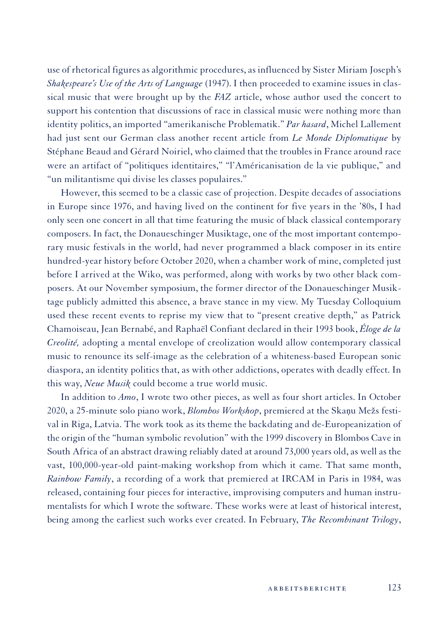use of rhetorical figures as algorithmic procedures, as influenced by Sister Miriam Joseph's *Shakespeare's Use of the Arts of Language* (1947). I then proceeded to examine issues in classical music that were brought up by the *FAZ* article, whose author used the concert to support his contention that discussions of race in classical music were nothing more than identity politics, an imported "amerikanische Problematik." *Par hasard*, Michel Lallement had just sent our German class another recent article from *Le Monde Diplomatique* by Stéphane Beaud and Gérard Noiriel, who claimed that the troubles in France around race were an artifact of "politiques identitaires," "l'Américanisation de la vie publique," and "un militantisme qui divise les classes populaires."

However, this seemed to be a classic case of projection. Despite decades of associations in Europe since 1976, and having lived on the continent for five years in the '80s, I had only seen one concert in all that time featuring the music of black classical contemporary composers. In fact, the Donaueschinger Musiktage, one of the most important contemporary music festivals in the world, had never programmed a black composer in its entire hundred-year history before October 2020, when a chamber work of mine, completed just before I arrived at the Wiko, was performed, along with works by two other black composers. At our November symposium, the former director of the Donaueschinger Musiktage publicly admitted this absence, a brave stance in my view. My Tuesday Colloquium used these recent events to reprise my view that to "present creative depth," as Patrick Chamoiseau, Jean Bernabé, and Raphaël Confiant declared in their 1993 book, *Éloge de la Creolité,* adopting a mental envelope of creolization would allow contemporary classical music to renounce its self-image as the celebration of a whiteness-based European sonic diaspora, an identity politics that, as with other addictions, operates with deadly effect. In this way, *Neue Musik* could become a true world music.

In addition to *Amo*, I wrote two other pieces, as well as four short articles. In October 2020, a 25-minute solo piano work, *Blombos Workshop*, premiered at the Skaņu Mežs festival in Riga, Latvia. The work took as its theme the backdating and de-Europeanization of the origin of the "human symbolic revolution" with the 1999 discovery in Blombos Cave in South Africa of an abstract drawing reliably dated at around 73,000 years old, as well as the vast, 100,000-year-old paint-making workshop from which it came. That same month, *Rainbow Family*, a recording of a work that premiered at IRCAM in Paris in 1984, was released, containing four pieces for interactive, improvising computers and human instrumentalists for which I wrote the software. These works were at least of historical interest, being among the earliest such works ever created. In February, *The Recombinant Trilogy*,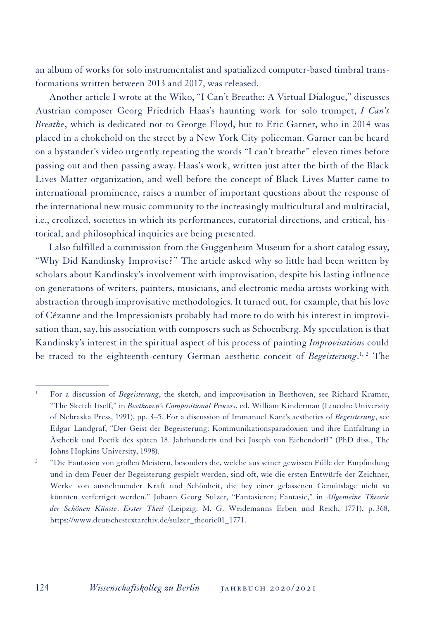an album of works for solo instrumentalist and spatialized computer-based timbral transformations written between 2013 and 2017, was released.

Another article I wrote at the Wiko, "I Can't Breathe: A Virtual Dialogue," discusses Austrian composer Georg Friedrich Haas's haunting work for solo trumpet, *I Can't Breathe*, which is dedicated not to George Floyd, but to Eric Garner, who in 2014 was placed in a chokehold on the street by a New York City policeman. Garner can be heard on a bystander's video urgently repeating the words "I can't breathe" eleven times before passing out and then passing away. Haas's work, written just after the birth of the Black Lives Matter organization, and well before the concept of Black Lives Matter came to international prominence, raises a number of important questions about the response of the international new music community to the increasingly multicultural and multiracial, i.e., creolized, societies in which its performances, curatorial directions, and critical, historical, and philosophical inquiries are being presented.

I also fulfilled a commission from the Guggenheim Museum for a short catalog essay, "Why Did Kandinsky Improvise?" The article asked why so little had been written by scholars about Kandinsky's involvement with improvisation, despite his lasting influence on generations of writers, painters, musicians, and electronic media artists working with abstraction through improvisative methodologies. It turned out, for example, that his love of Cézanne and the Impressionists probably had more to do with his interest in improvisation than, say, his association with composers such as Schoenberg. My speculation is that Kandinsky's interest in the spiritual aspect of his process of painting *Improvisations* could be traced to the eighteenth-century German aesthetic conceit of *Begeisterung*. 1, 2 The

<sup>1</sup> For a discussion of *Begeisterung*, the sketch, and improvisation in Beethoven, see Richard Kramer, "The Sketch Itself," in *Beethoven's Compositional Process*, ed. William Kinderman (Lincoln: University of Nebraska Press, 1991), pp. 3–5. For a discussion of Immanuel Kant's aesthetics of *Begeisterung*, see Edgar Landgraf, "Der Geist der Begeisterung: Kommunikationsparadoxien und ihre Entfaltung in Ästhetik und Poetik des späten 18. Jahrhunderts und bei Joseph von Eichendorff" (PhD diss., The Johns Hopkins University, 1998).

<sup>2</sup> "Die Fantasien von großen Meistern, besonders die, welche aus seiner gewissen Fülle der Empfindung und in dem Feuer der Begeisterung gespielt werden, sind oft, wie die ersten Entwürfe der Zeichner, Werke von ausnehmender Kraft und Schönheit, die bey einer gelassenen Gemütslage nicht so könnten verfertiget werden." Johann Georg Sulzer, "Fantasieren; Fantasie," in *Allgemeine Theorie der Schönen Künste*. *Erster Theil* (Leipzig: M. G. Weidemanns Erben und Reich, 1771), p. 368, https://www.deutschestextarchiv.de/sulzer\_theorie01\_1771.